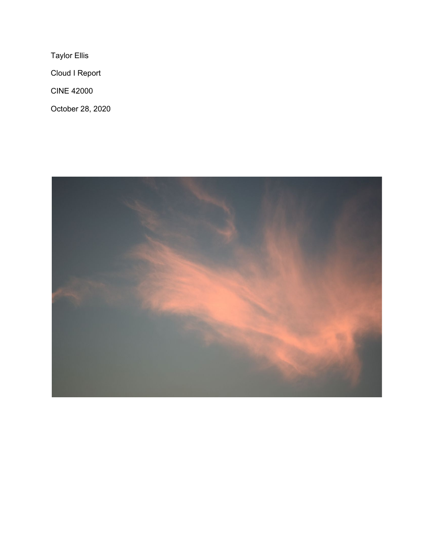Taylor Ellis

Cloud I Report

CINE 42000

October 28, 2020

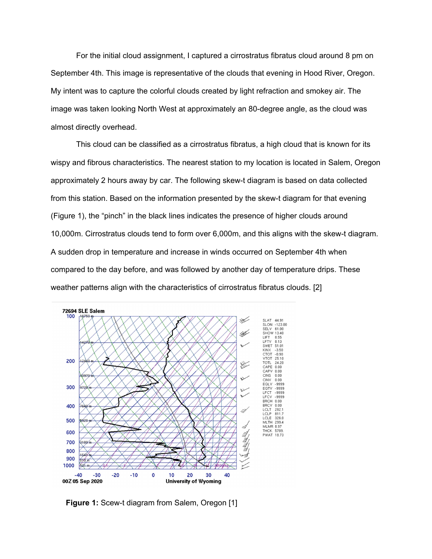For the initial cloud assignment, I captured a cirrostratus fibratus cloud around 8 pm on September 4th. This image is representative of the clouds that evening in Hood River, Oregon. My intent was to capture the colorful clouds created by light refraction and smokey air. The image was taken looking North West at approximately an 80-degree angle, as the cloud was almost directly overhead.

This cloud can be classified as a cirrostratus fibratus, a high cloud that is known for its wispy and fibrous characteristics. The nearest station to my location is located in Salem, Oregon approximately 2 hours away by car. The following skew-t diagram is based on data collected from this station. Based on the information presented by the skew-t diagram for that evening (Figure 1), the "pinch" in the black lines indicates the presence of higher clouds around 10,000m. Cirrostratus clouds tend to form over 6,000m, and this aligns with the skew-t diagram. A sudden drop in temperature and increase in winds occurred on September 4th when compared to the day before, and was followed by another day of temperature drips. These weather patterns align with the characteristics of cirrostratus fibratus clouds. [2]



**Figure 1:** Scew-t diagram from Salem, Oregon [1]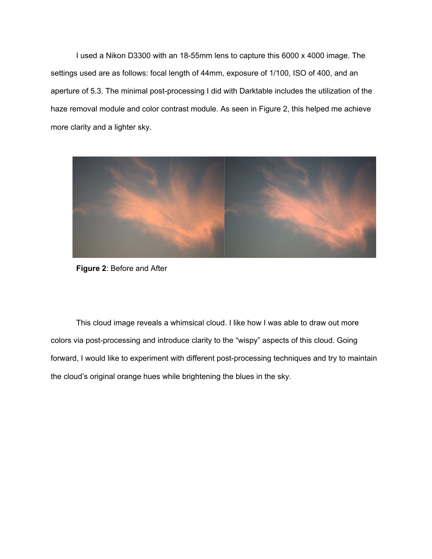I used a Nikon D3300 with an 18-55mm lens to capture this 6000 x 4000 image. The settings used are as follows: focal length of 44mm, exposure of 1/100, ISO of 400, and an aperture of 5.3. The minimal post-processing I did with Darktable includes the utilization of the haze removal module and color contrast module. As seen in Figure 2, this helped me achieve more clarity and a lighter sky.



**Figure 2**: Before and After

This cloud image reveals a whimsical cloud. I like how I was able to draw out more colors via post-processing and introduce clarity to the "wispy" aspects of this cloud. Going forward, I would like to experiment with different post-processing techniques and try to maintain the cloud's original orange hues while brightening the blues in the sky.